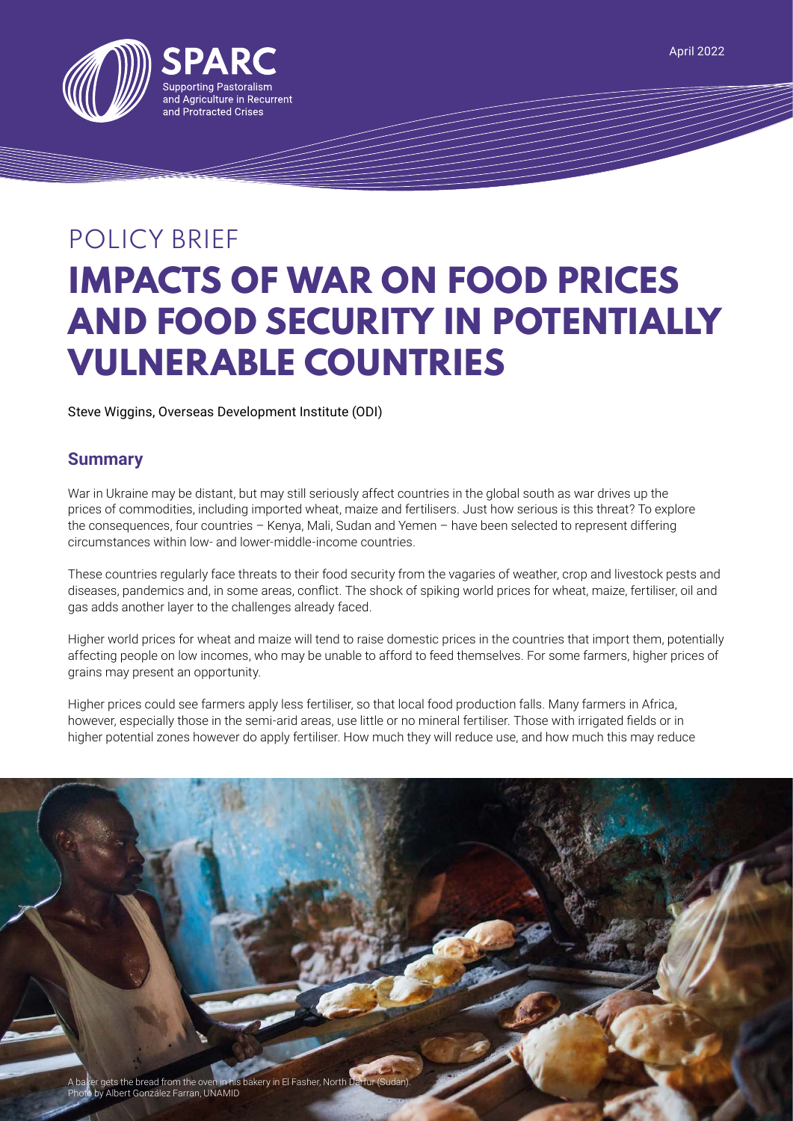

# POLICY BRIEF **IMPACTS OF WAR ON FOOD PRICES AND FOOD SECURITY IN POTENTIALLY VULNERABLE COUNTRIES**

Steve Wiggins, Overseas Development Institute (ODI)

# **Summary**

War in Ukraine may be distant, but may still seriously affect countries in the global south as war drives up the prices of commodities, including imported wheat, maize and fertilisers. Just how serious is this threat? To explore the consequences, four countries – Kenya, Mali, Sudan and Yemen – have been selected to represent differing circumstances within low- and lower-middle-income countries.

These countries regularly face threats to their food security from the vagaries of weather, crop and livestock pests and diseases, pandemics and, in some areas, conflict. The shock of spiking world prices for wheat, maize, fertiliser, oil and gas adds another layer to the challenges already faced.

Higher world prices for wheat and maize will tend to raise domestic prices in the countries that import them, potentially affecting people on low incomes, who may be unable to afford to feed themselves. For some farmers, higher prices of grains may present an opportunity.

Higher prices could see farmers apply less fertiliser, so that local food production falls. Many farmers in Africa, however, especially those in the semi-arid areas, use little or no mineral fertiliser. Those with irrigated fields or in higher potential zones however do apply fertiliser. How much they will reduce use, and how much this may reduce

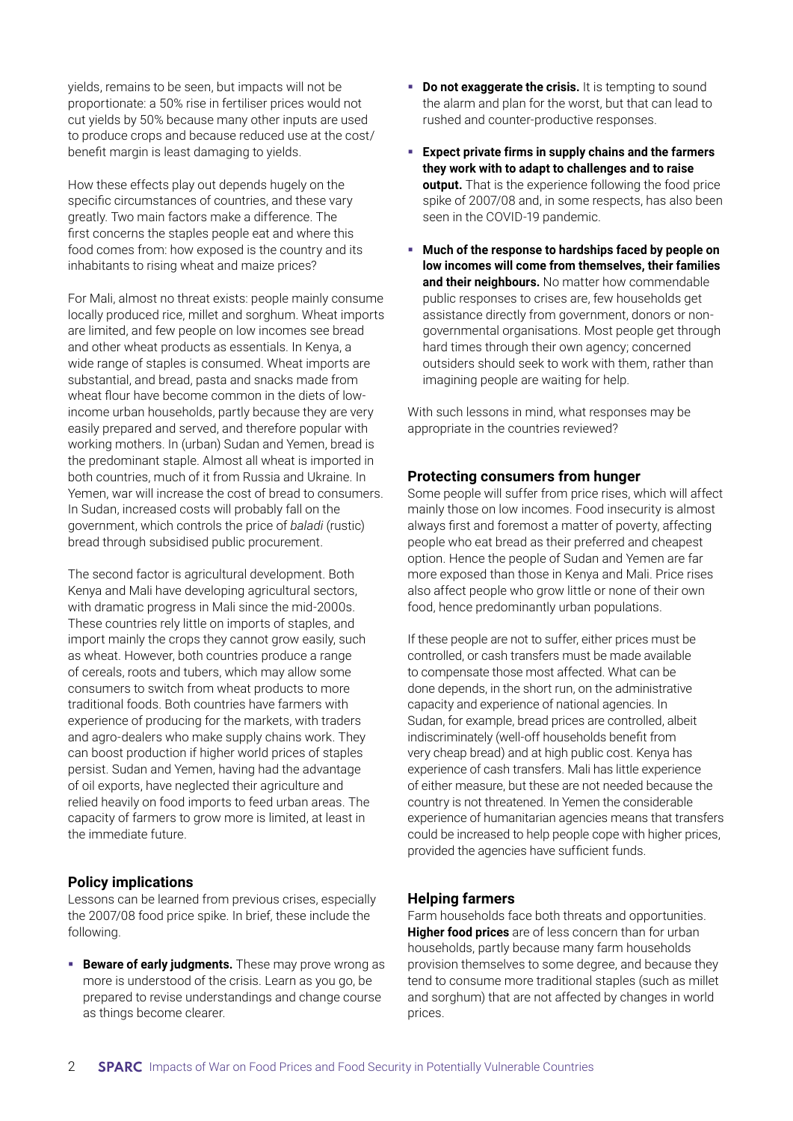yields, remains to be seen, but impacts will not be proportionate: a 50% rise in fertiliser prices would not cut yields by 50% because many other inputs are used to produce crops and because reduced use at the cost/ benefit margin is least damaging to yields.

How these effects play out depends hugely on the specific circumstances of countries, and these vary greatly. Two main factors make a difference. The first concerns the staples people eat and where this food comes from: how exposed is the country and its inhabitants to rising wheat and maize prices?

For Mali, almost no threat exists: people mainly consume locally produced rice, millet and sorghum. Wheat imports are limited, and few people on low incomes see bread and other wheat products as essentials. In Kenya, a wide range of staples is consumed. Wheat imports are substantial, and bread, pasta and snacks made from wheat flour have become common in the diets of lowincome urban households, partly because they are very easily prepared and served, and therefore popular with working mothers. In (urban) Sudan and Yemen, bread is the predominant staple. Almost all wheat is imported in both countries, much of it from Russia and Ukraine. In Yemen, war will increase the cost of bread to consumers. In Sudan, increased costs will probably fall on the government, which controls the price of *baladi* (rustic) bread through subsidised public procurement.

The second factor is agricultural development. Both Kenya and Mali have developing agricultural sectors, with dramatic progress in Mali since the mid-2000s. These countries rely little on imports of staples, and import mainly the crops they cannot grow easily, such as wheat. However, both countries produce a range of cereals, roots and tubers, which may allow some consumers to switch from wheat products to more traditional foods. Both countries have farmers with experience of producing for the markets, with traders and agro-dealers who make supply chains work. They can boost production if higher world prices of staples persist. Sudan and Yemen, having had the advantage of oil exports, have neglected their agriculture and relied heavily on food imports to feed urban areas. The capacity of farmers to grow more is limited, at least in the immediate future.

# **Policy implications**

Lessons can be learned from previous crises, especially the 2007/08 food price spike. In brief, these include the following.

**Beware of early judgments.** These may prove wrong as more is understood of the crisis. Learn as you go, be prepared to revise understandings and change course as things become clearer.

- **Do not exaggerate the crisis.** It is tempting to sound the alarm and plan for the worst, but that can lead to rushed and counter-productive responses.
- **Expect private firms in supply chains and the farmers they work with to adapt to challenges and to raise output.** That is the experience following the food price spike of 2007/08 and, in some respects, has also been seen in the COVID-19 pandemic.
- **Much of the response to hardships faced by people on low incomes will come from themselves, their families and their neighbours.** No matter how commendable public responses to crises are, few households get assistance directly from government, donors or nongovernmental organisations. Most people get through hard times through their own agency; concerned outsiders should seek to work with them, rather than imagining people are waiting for help.

With such lessons in mind, what responses may be appropriate in the countries reviewed?

### **Protecting consumers from hunger**

Some people will suffer from price rises, which will affect mainly those on low incomes. Food insecurity is almost always first and foremost a matter of poverty, affecting people who eat bread as their preferred and cheapest option. Hence the people of Sudan and Yemen are far more exposed than those in Kenya and Mali. Price rises also affect people who grow little or none of their own food, hence predominantly urban populations.

If these people are not to suffer, either prices must be controlled, or cash transfers must be made available to compensate those most affected. What can be done depends, in the short run, on the administrative capacity and experience of national agencies. In Sudan, for example, bread prices are controlled, albeit indiscriminately (well-off households benefit from very cheap bread) and at high public cost. Kenya has experience of cash transfers. Mali has little experience of either measure, but these are not needed because the country is not threatened. In Yemen the considerable experience of humanitarian agencies means that transfers could be increased to help people cope with higher prices, provided the agencies have sufficient funds.

#### **Helping farmers**

Farm households face both threats and opportunities. **Higher food prices** are of less concern than for urban households, partly because many farm households provision themselves to some degree, and because they tend to consume more traditional staples (such as millet and sorghum) that are not affected by changes in world prices.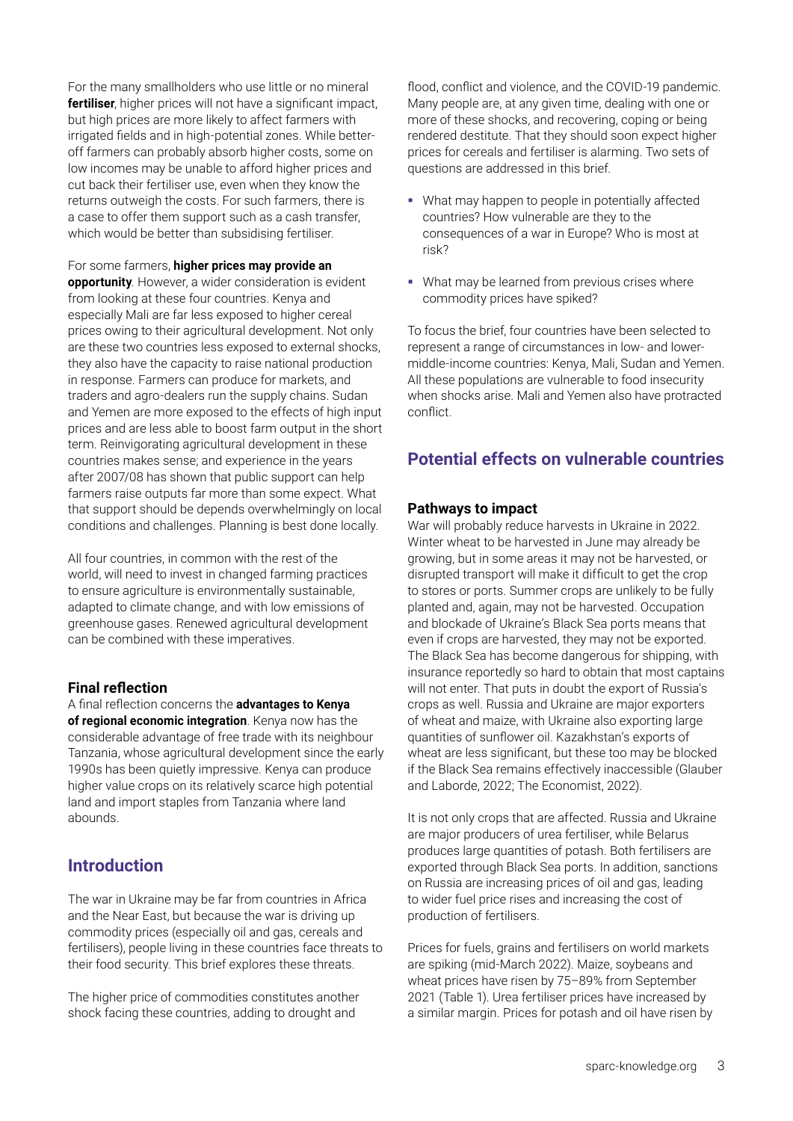For the many smallholders who use little or no mineral **fertiliser**, higher prices will not have a significant impact, but high prices are more likely to affect farmers with irrigated fields and in high-potential zones. While betteroff farmers can probably absorb higher costs, some on low incomes may be unable to afford higher prices and cut back their fertiliser use, even when they know the returns outweigh the costs. For such farmers, there is a case to offer them support such as a cash transfer, which would be better than subsidising fertiliser.

For some farmers, **higher prices may provide an opportunity**. However, a wider consideration is evident from looking at these four countries. Kenya and especially Mali are far less exposed to higher cereal prices owing to their agricultural development. Not only are these two countries less exposed to external shocks, they also have the capacity to raise national production in response. Farmers can produce for markets, and traders and agro-dealers run the supply chains. Sudan and Yemen are more exposed to the effects of high input prices and are less able to boost farm output in the short term. Reinvigorating agricultural development in these countries makes sense; and experience in the years after 2007/08 has shown that public support can help farmers raise outputs far more than some expect. What that support should be depends overwhelmingly on local conditions and challenges. Planning is best done locally.

All four countries, in common with the rest of the world, will need to invest in changed farming practices to ensure agriculture is environmentally sustainable, adapted to climate change, and with low emissions of greenhouse gases. Renewed agricultural development can be combined with these imperatives.

# **Final reflection**

A final reflection concerns the **advantages to Kenya of regional economic integration**. Kenya now has the considerable advantage of free trade with its neighbour Tanzania, whose agricultural development since the early 1990s has been quietly impressive. Kenya can produce higher value crops on its relatively scarce high potential land and import staples from Tanzania where land abounds.

# **Introduction**

The war in Ukraine may be far from countries in Africa and the Near East, but because the war is driving up commodity prices (especially oil and gas, cereals and fertilisers), people living in these countries face threats to their food security. This brief explores these threats.

The higher price of commodities constitutes another shock facing these countries, adding to drought and

flood, conflict and violence, and the COVID-19 pandemic. Many people are, at any given time, dealing with one or more of these shocks, and recovering, coping or being rendered destitute. That they should soon expect higher prices for cereals and fertiliser is alarming. Two sets of questions are addressed in this brief.

- What may happen to people in potentially affected countries? How vulnerable are they to the consequences of a war in Europe? Who is most at risk?
- What may be learned from previous crises where commodity prices have spiked?

To focus the brief, four countries have been selected to represent a range of circumstances in low- and lowermiddle-income countries: Kenya, Mali, Sudan and Yemen. All these populations are vulnerable to food insecurity when shocks arise. Mali and Yemen also have protracted conflict.

# **Potential effects on vulnerable countries**

# **Pathways to impact**

War will probably reduce harvests in Ukraine in 2022. Winter wheat to be harvested in June may already be growing, but in some areas it may not be harvested, or disrupted transport will make it difficult to get the crop to stores or ports. Summer crops are unlikely to be fully planted and, again, may not be harvested. Occupation and blockade of Ukraine's Black Sea ports means that even if crops are harvested, they may not be exported. The Black Sea has become dangerous for shipping, with insurance reportedly so hard to obtain that most captains will not enter. That puts in doubt the export of Russia's crops as well. Russia and Ukraine are major exporters of wheat and maize, with Ukraine also exporting large quantities of sunflower oil. Kazakhstan's exports of wheat are less significant, but these too may be blocked if the Black Sea remains effectively inaccessible (Glauber and Laborde, 2022; The Economist, 2022).

It is not only crops that are affected. Russia and Ukraine are major producers of urea fertiliser, while Belarus produces large quantities of potash. Both fertilisers are exported through Black Sea ports. In addition, sanctions on Russia are increasing prices of oil and gas, leading to wider fuel price rises and increasing the cost of production of fertilisers.

Prices for fuels, grains and fertilisers on world markets are spiking (mid-March 2022). Maize, soybeans and wheat prices have risen by 75–89% from September 2021 (Table 1). Urea fertiliser prices have increased by a similar margin. Prices for potash and oil have risen by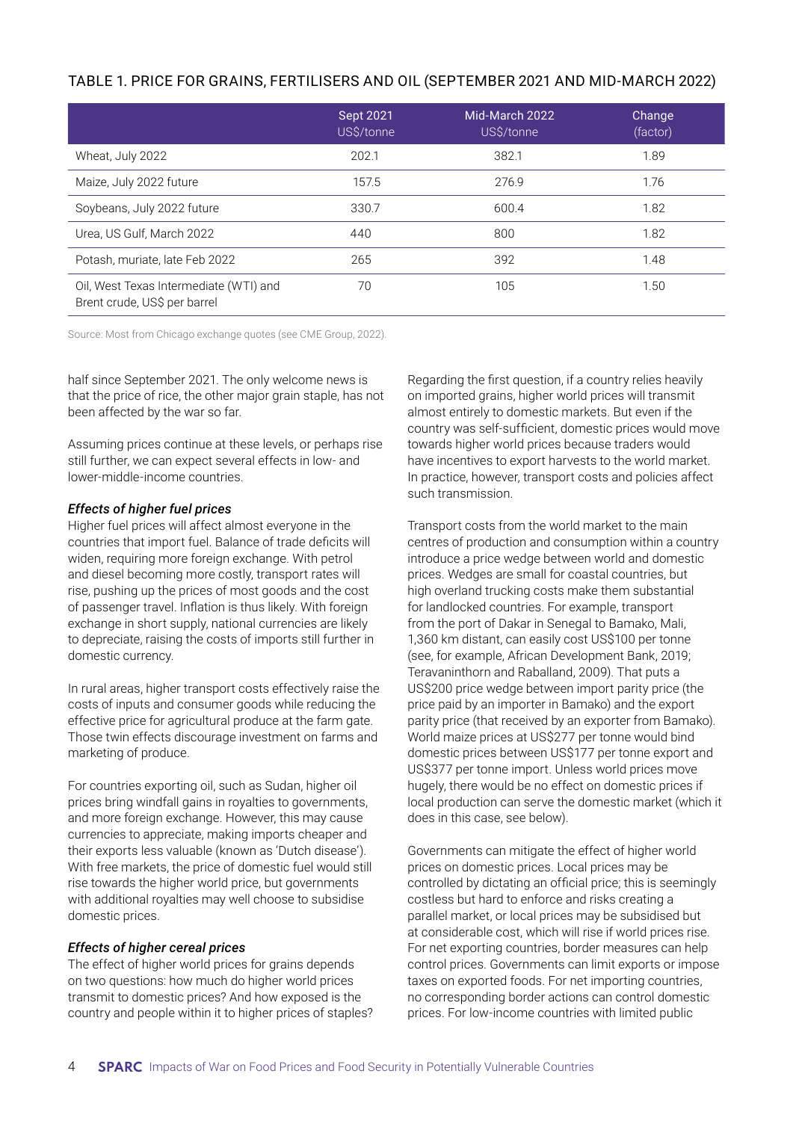| TABLE 1. PRICE FOR GRAINS, FERTILISERS AND OIL (SEPTEMBER 2021 AND MID-MARCH 2022) |  |  |  |
|------------------------------------------------------------------------------------|--|--|--|
|------------------------------------------------------------------------------------|--|--|--|

|                                                                        | <b>Sept 2021</b><br>US\$/tonne | Mid-March 2022<br>US\$/tonne | Change<br>(factor) |
|------------------------------------------------------------------------|--------------------------------|------------------------------|--------------------|
| Wheat, July 2022                                                       | 202.1                          | 382.1                        | 1.89               |
| Maize, July 2022 future                                                | 157.5                          | 276.9                        | 1.76               |
| Soybeans, July 2022 future                                             | 330.7                          | 600.4                        | 1.82               |
| Urea, US Gulf, March 2022                                              | 440                            | 800                          | 1.82               |
| Potash, muriate, late Feb 2022                                         | 265                            | 392                          | 1.48               |
| Oil, West Texas Intermediate (WTI) and<br>Brent crude, US\$ per barrel | 70                             | 105                          | 1.50               |

Source: Most from Chicago exchange quotes (see CME Group, 2022).

half since September 2021. The only welcome news is that the price of rice, the other major grain staple, has not been affected by the war so far.

Assuming prices continue at these levels, or perhaps rise still further, we can expect several effects in low- and lower-middle-income countries.

#### *Effects of higher fuel prices*

Higher fuel prices will affect almost everyone in the countries that import fuel. Balance of trade deficits will widen, requiring more foreign exchange. With petrol and diesel becoming more costly, transport rates will rise, pushing up the prices of most goods and the cost of passenger travel. Inflation is thus likely. With foreign exchange in short supply, national currencies are likely to depreciate, raising the costs of imports still further in domestic currency.

In rural areas, higher transport costs effectively raise the costs of inputs and consumer goods while reducing the effective price for agricultural produce at the farm gate. Those twin effects discourage investment on farms and marketing of produce.

For countries exporting oil, such as Sudan, higher oil prices bring windfall gains in royalties to governments, and more foreign exchange. However, this may cause currencies to appreciate, making imports cheaper and their exports less valuable (known as 'Dutch disease'). With free markets, the price of domestic fuel would still rise towards the higher world price, but governments with additional royalties may well choose to subsidise domestic prices.

# *Effects of higher cereal prices*

The effect of higher world prices for grains depends on two questions: how much do higher world prices transmit to domestic prices? And how exposed is the country and people within it to higher prices of staples?

Regarding the first question, if a country relies heavily on imported grains, higher world prices will transmit almost entirely to domestic markets. But even if the country was self-sufficient, domestic prices would move towards higher world prices because traders would have incentives to export harvests to the world market. In practice, however, transport costs and policies affect such transmission.

Transport costs from the world market to the main centres of production and consumption within a country introduce a price wedge between world and domestic prices. Wedges are small for coastal countries, but high overland trucking costs make them substantial for landlocked countries. For example, transport from the port of Dakar in Senegal to Bamako, Mali, 1,360 km distant, can easily cost US\$100 per tonne (see, for example, African Development Bank, 2019; Teravaninthorn and Raballand, 2009). That puts a US\$200 price wedge between import parity price (the price paid by an importer in Bamako) and the export parity price (that received by an exporter from Bamako). World maize prices at US\$277 per tonne would bind domestic prices between US\$177 per tonne export and US\$377 per tonne import. Unless world prices move hugely, there would be no effect on domestic prices if local production can serve the domestic market (which it does in this case, see below).

Governments can mitigate the effect of higher world prices on domestic prices. Local prices may be controlled by dictating an official price; this is seemingly costless but hard to enforce and risks creating a parallel market, or local prices may be subsidised but at considerable cost, which will rise if world prices rise. For net exporting countries, border measures can help control prices. Governments can limit exports or impose taxes on exported foods. For net importing countries, no corresponding border actions can control domestic prices. For low-income countries with limited public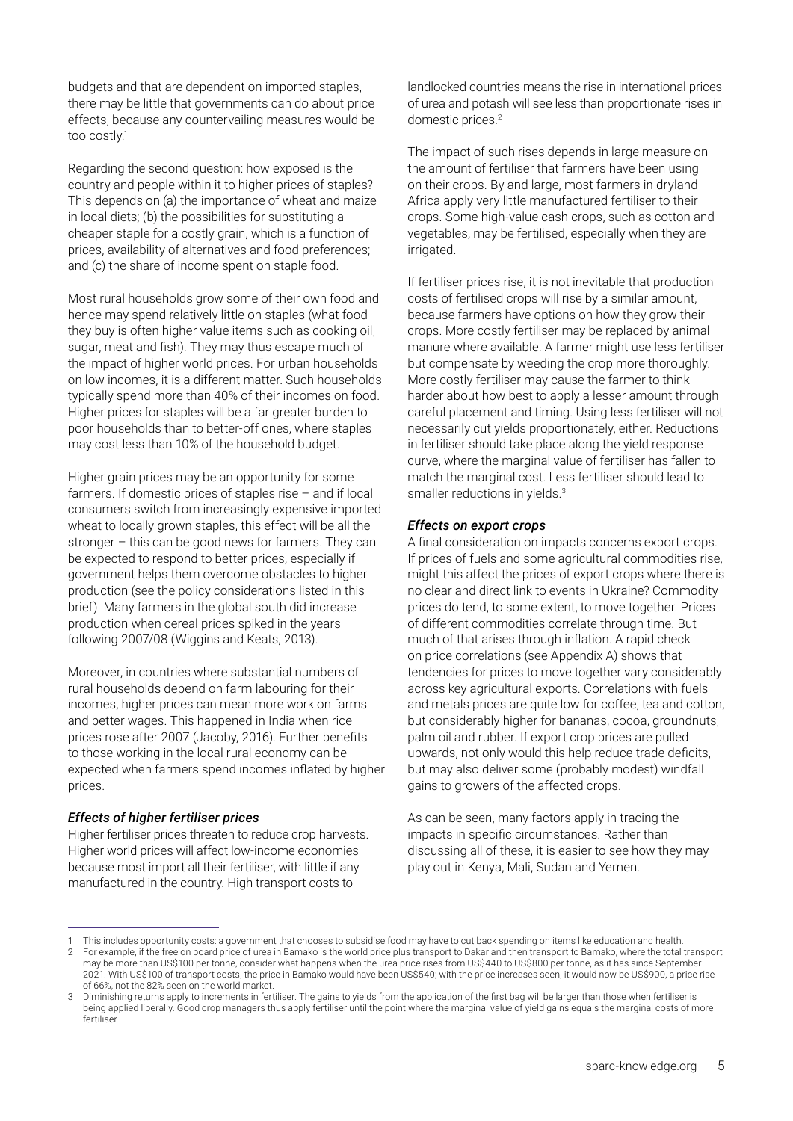budgets and that are dependent on imported staples, there may be little that governments can do about price effects, because any countervailing measures would be too costly.1

Regarding the second question: how exposed is the country and people within it to higher prices of staples? This depends on (a) the importance of wheat and maize in local diets; (b) the possibilities for substituting a cheaper staple for a costly grain, which is a function of prices, availability of alternatives and food preferences; and (c) the share of income spent on staple food.

Most rural households grow some of their own food and hence may spend relatively little on staples (what food they buy is often higher value items such as cooking oil, sugar, meat and fish). They may thus escape much of the impact of higher world prices. For urban households on low incomes, it is a different matter. Such households typically spend more than 40% of their incomes on food. Higher prices for staples will be a far greater burden to poor households than to better-off ones, where staples may cost less than 10% of the household budget.

Higher grain prices may be an opportunity for some farmers. If domestic prices of staples rise – and if local consumers switch from increasingly expensive imported wheat to locally grown staples, this effect will be all the stronger – this can be good news for farmers. They can be expected to respond to better prices, especially if government helps them overcome obstacles to higher production (see the policy considerations listed in this brief). Many farmers in the global south did increase production when cereal prices spiked in the years following 2007/08 (Wiggins and Keats, 2013).

Moreover, in countries where substantial numbers of rural households depend on farm labouring for their incomes, higher prices can mean more work on farms and better wages. This happened in India when rice prices rose after 2007 (Jacoby, 2016). Further benefits to those working in the local rural economy can be expected when farmers spend incomes inflated by higher prices.

#### *Effects of higher fertiliser prices*

Higher fertiliser prices threaten to reduce crop harvests. Higher world prices will affect low-income economies because most import all their fertiliser, with little if any manufactured in the country. High transport costs to

landlocked countries means the rise in international prices of urea and potash will see less than proportionate rises in domestic prices.<sup>2</sup>

The impact of such rises depends in large measure on the amount of fertiliser that farmers have been using on their crops. By and large, most farmers in dryland Africa apply very little manufactured fertiliser to their crops. Some high-value cash crops, such as cotton and vegetables, may be fertilised, especially when they are irrigated.

If fertiliser prices rise, it is not inevitable that production costs of fertilised crops will rise by a similar amount, because farmers have options on how they grow their crops. More costly fertiliser may be replaced by animal manure where available. A farmer might use less fertiliser but compensate by weeding the crop more thoroughly. More costly fertiliser may cause the farmer to think harder about how best to apply a lesser amount through careful placement and timing. Using less fertiliser will not necessarily cut yields proportionately, either. Reductions in fertiliser should take place along the yield response curve, where the marginal value of fertiliser has fallen to match the marginal cost. Less fertiliser should lead to smaller reductions in vields.<sup>3</sup>

#### *Effects on export crops*

A final consideration on impacts concerns export crops. If prices of fuels and some agricultural commodities rise, might this affect the prices of export crops where there is no clear and direct link to events in Ukraine? Commodity prices do tend, to some extent, to move together. Prices of different commodities correlate through time. But much of that arises through inflation. A rapid check on price correlations (see Appendix A) shows that tendencies for prices to move together vary considerably across key agricultural exports. Correlations with fuels and metals prices are quite low for coffee, tea and cotton, but considerably higher for bananas, cocoa, groundnuts, palm oil and rubber. If export crop prices are pulled upwards, not only would this help reduce trade deficits, but may also deliver some (probably modest) windfall gains to growers of the affected crops.

As can be seen, many factors apply in tracing the impacts in specific circumstances. Rather than discussing all of these, it is easier to see how they may play out in Kenya, Mali, Sudan and Yemen.

<sup>1</sup> This includes opportunity costs: a government that chooses to subsidise food may have to cut back spending on items like education and health.

<sup>2</sup> For example, if the free on board price of urea in Bamako is the world price plus transport to Dakar and then transport to Bamako, where the total transport may be more than US\$100 per tonne, consider what happens when the urea price rises from US\$440 to US\$800 per tonne, as it has since September 2021. With US\$100 of transport costs, the price in Bamako would have been US\$540; with the price increases seen, it would now be US\$900, a price rise of 66%, not the 82% seen on the world market.

<sup>3</sup> Diminishing returns apply to increments in fertiliser. The gains to yields from the application of the first bag will be larger than those when fertiliser is being applied liberally. Good crop managers thus apply fertiliser until the point where the marginal value of yield gains equals the marginal costs of more fertiliser.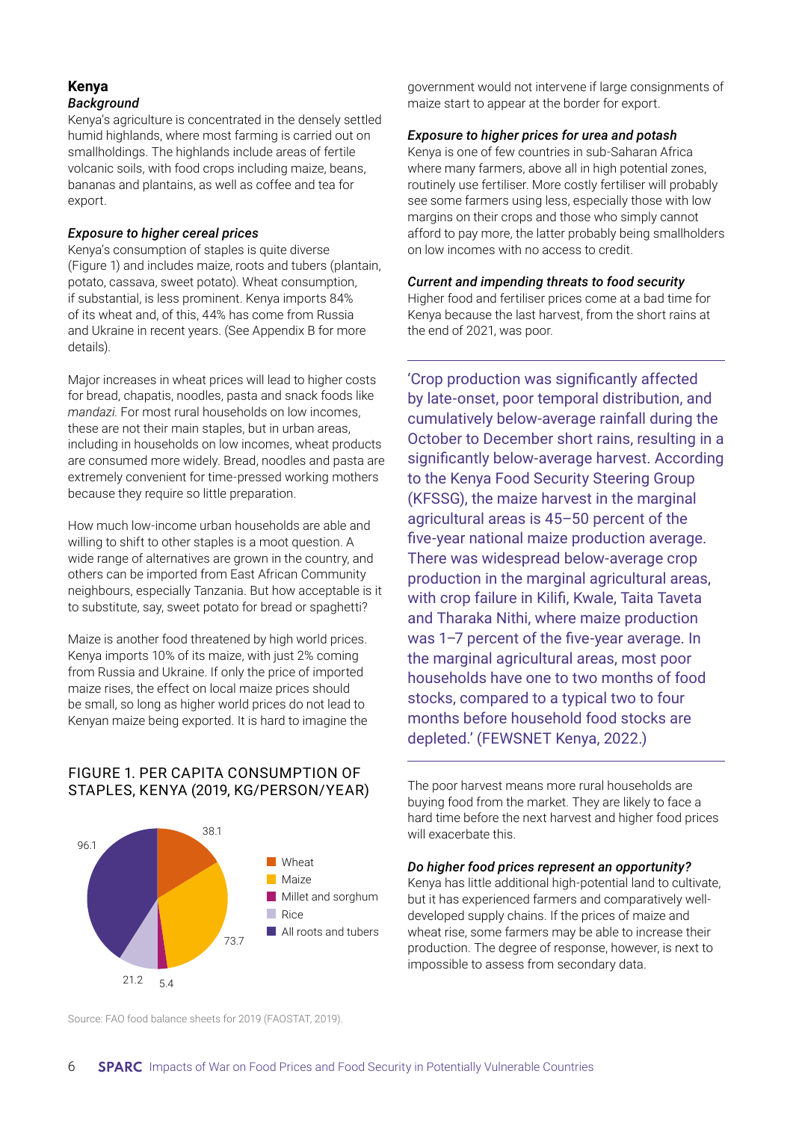# **Kenya** *Background*

Kenya's agriculture is concentrated in the densely settled humid highlands, where most farming is carried out on smallholdings. The highlands include areas of fertile volcanic soils, with food crops including maize, beans, bananas and plantains, as well as coffee and tea for export.

# *Exposure to higher cereal prices*

Kenya's consumption of staples is quite diverse (Figure 1) and includes maize, roots and tubers (plantain, potato, cassava, sweet potato). Wheat consumption, if substantial, is less prominent. Kenya imports 84% of its wheat and, of this, 44% has come from Russia and Ukraine in recent years. (See Appendix B for more details).

Major increases in wheat prices will lead to higher costs for bread, chapatis, noodles, pasta and snack foods like *mandazi*. For most rural households on low incomes, these are not their main staples, but in urban areas, including in households on low incomes, wheat products are consumed more widely. Bread, noodles and pasta are extremely convenient for time-pressed working mothers because they require so little preparation.

How much low-income urban households are able and willing to shift to other staples is a moot question. A wide range of alternatives are grown in the country, and others can be imported from East African Community neighbours, especially Tanzania. But how acceptable is it to substitute, say, sweet potato for bread or spaghetti?

Maize is another food threatened by high world prices. Kenya imports 10% of its maize, with just 2% coming from Russia and Ukraine. If only the price of imported maize rises, the effect on local maize prices should be small, so long as higher world prices do not lead to Kenyan maize being exported. It is hard to imagine the

# FIGURE 1. PER CAPITA CONSUMPTION OF STAPLES, KENYA (2019, KG/PERSON/YEAR)



government would not intervene if large consignments of maize start to appear at the border for export.

# *Exposure to higher prices for urea and potash*

Kenya is one of few countries in sub-Saharan Africa where many farmers, above all in high potential zones, routinely use fertiliser. More costly fertiliser will probably see some farmers using less, especially those with low margins on their crops and those who simply cannot afford to pay more, the latter probably being smallholders on low incomes with no access to credit.

# *Current and impending threats to food security*

Higher food and fertiliser prices come at a bad time for Kenya because the last harvest, from the short rains at the end of 2021, was poor.

'Crop production was significantly affected by late-onset, poor temporal distribution, and cumulatively below-average rainfall during the October to December short rains, resulting in a significantly below-average harvest. According to the Kenya Food Security Steering Group (KFSSG), the maize harvest in the marginal agricultural areas is 45–50 percent of the five-year national maize production average. There was widespread below-average crop production in the marginal agricultural areas, with crop failure in Kilifi, Kwale, Taita Taveta and Tharaka Nithi, where maize production was 1–7 percent of the five-year average. In the marginal agricultural areas, most poor households have one to two months of food stocks, compared to a typical two to four months before household food stocks are depleted.' (FEWSNET Kenya, 2022.)

The poor harvest means more rural households are buying food from the market. They are likely to face a hard time before the next harvest and higher food prices will exacerbate this.

# *Do higher food prices represent an opportunity?*

Kenya has little additional high-potential land to cultivate, but it has experienced farmers and comparatively welldeveloped supply chains. If the prices of maize and wheat rise, some farmers may be able to increase their production. The degree of response, however, is next to impossible to assess from secondary data.

Source: FAO food balance sheets for 2019 (FAOSTAT, 2019).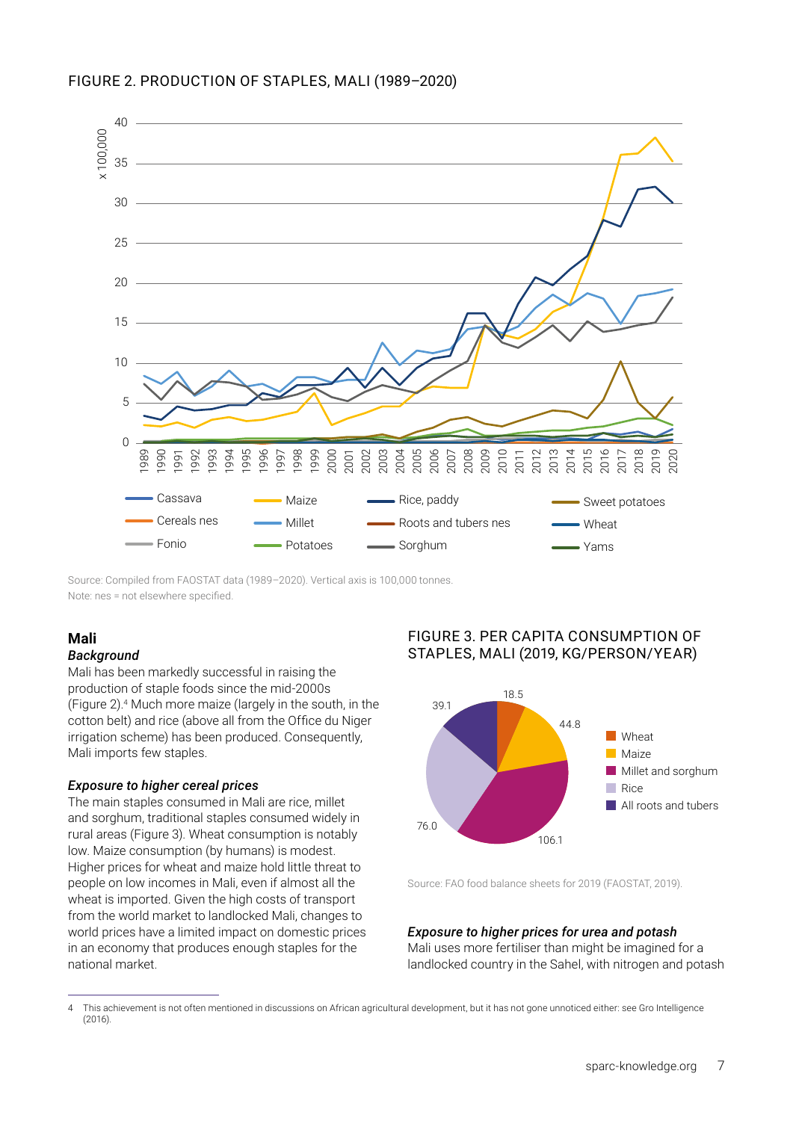

Source: Compiled from FAOSTAT data (1989–2020). Vertical axis is 100,000 tonnes.

# **Mali**

# *Background*

Mali has been markedly successful in raising the production of staple foods since the mid-2000s (Figure 2).<sup>4</sup> Much more maize (largely in the south, in the cotton belt) and rice (above all from the Office du Niger irrigation scheme) has been produced. Consequently, Mali imports few staples.

# *Exposure to higher cereal prices*

The main staples consumed in Mali are rice, millet and sorghum, traditional staples consumed widely in rural areas (Figure 3). Wheat consumption is notably low. Maize consumption (by humans) is modest. Higher prices for wheat and maize hold little threat to people on low incomes in Mali, even if almost all the wheat is imported. Given the high costs of transport from the world market to landlocked Mali, changes to world prices have a limited impact on domestic prices in an economy that produces enough staples for the national market.

# FIGURE 3. PER CAPITA CONSUMPTION OF STAPLES, MALI (2019, KG/PERSON/YEAR)



Source: FAO food balance sheets for 2019 (FAOSTAT, 2019).

# *Exposure to higher prices for urea and potash*

Mali uses more fertiliser than might be imagined for a landlocked country in the Sahel, with nitrogen and potash

<sup>4</sup> This achievement is not often mentioned in discussions on African agricultural development, but it has not gone unnoticed either: see Gro Intelligence (2016).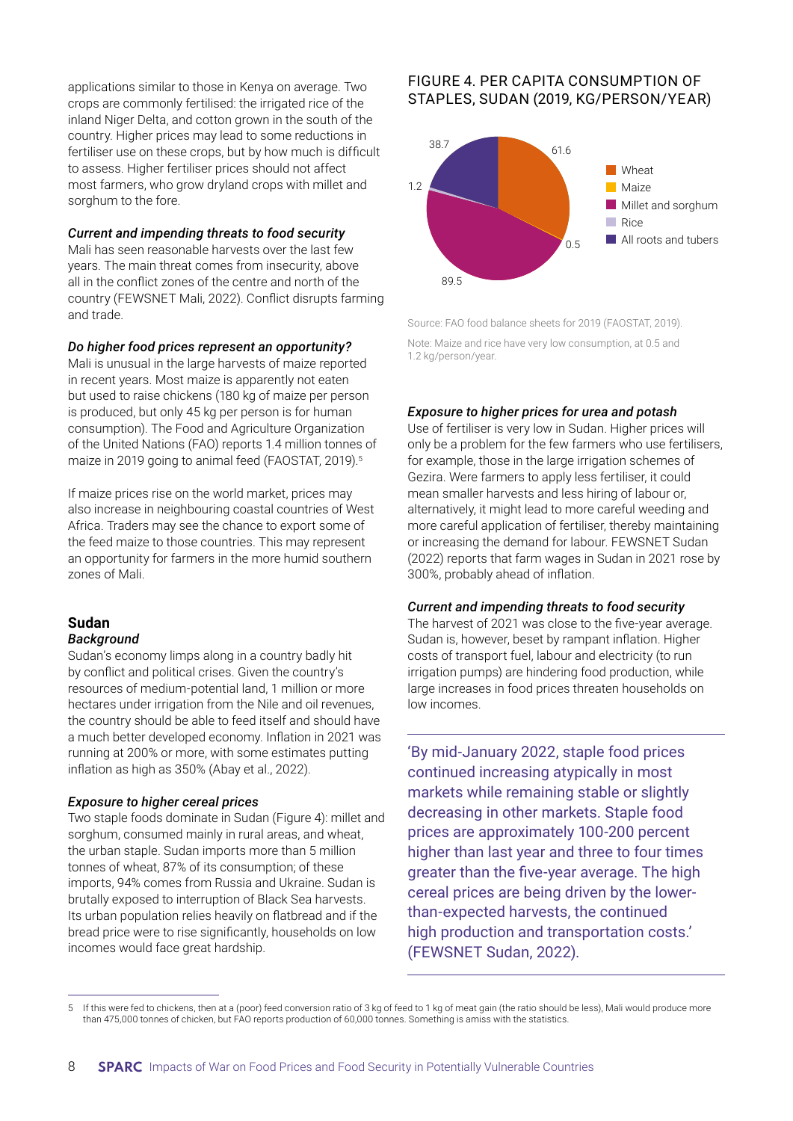applications similar to those in Kenya on average. Two crops are commonly fertilised: the irrigated rice of the inland Niger Delta, and cotton grown in the south of the country. Higher prices may lead to some reductions in fertiliser use on these crops, but by how much is difficult to assess. Higher fertiliser prices should not affect most farmers, who grow dryland crops with millet and sorghum to the fore.

#### *Current and impending threats to food security*

Mali has seen reasonable harvests over the last few years. The main threat comes from insecurity, above all in the conflict zones of the centre and north of the country (FEWSNET Mali, 2022). Conflict disrupts farming and trade.

#### *Do higher food prices represent an opportunity?*

Mali is unusual in the large harvests of maize reported in recent years. Most maize is apparently not eaten but used to raise chickens (180 kg of maize per person is produced, but only 45 kg per person is for human consumption). The Food and Agriculture Organization of the United Nations (FAO) reports 1.4 million tonnes of maize in 2019 going to animal feed (FAOSTAT, 2019).<sup>5</sup>

If maize prices rise on the world market, prices may also increase in neighbouring coastal countries of West Africa. Traders may see the chance to export some of the feed maize to those countries. This may represent an opportunity for farmers in the more humid southern zones of Mali.

#### **Sudan**  *Background*

Sudan's economy limps along in a country badly hit by conflict and political crises. Given the country's resources of medium-potential land, 1 million or more hectares under irrigation from the Nile and oil revenues, the country should be able to feed itself and should have a much better developed economy. Inflation in 2021 was running at 200% or more, with some estimates putting inflation as high as 350% (Abay et al., 2022).

# *Exposure to higher cereal prices*

Two staple foods dominate in Sudan (Figure 4): millet and sorghum, consumed mainly in rural areas, and wheat, the urban staple. Sudan imports more than 5 million tonnes of wheat, 87% of its consumption; of these imports, 94% comes from Russia and Ukraine. Sudan is brutally exposed to interruption of Black Sea harvests. Its urban population relies heavily on flatbread and if the bread price were to rise significantly, households on low incomes would face great hardship.

# FIGURE 4. PER CAPITA CONSUMPTION OF STAPLES, SUDAN (2019, KG/PERSON/YEAR)



Source: FAO food balance sheets for 2019 (FAOSTAT, 2019).

Note: Maize and rice have very low consumption, at 0.5 and 1.2 kg/person/year.

# *Exposure to higher prices for urea and potash*

Use of fertiliser is very low in Sudan. Higher prices will only be a problem for the few farmers who use fertilisers, for example, those in the large irrigation schemes of Gezira. Were farmers to apply less fertiliser, it could mean smaller harvests and less hiring of labour or, alternatively, it might lead to more careful weeding and more careful application of fertiliser, thereby maintaining or increasing the demand for labour. FEWSNET Sudan (2022) reports that farm wages in Sudan in 2021 rose by 300%, probably ahead of inflation.

#### *Current and impending threats to food security*

The harvest of 2021 was close to the five-year average. Sudan is, however, beset by rampant inflation. Higher costs of transport fuel, labour and electricity (to run irrigation pumps) are hindering food production, while large increases in food prices threaten households on low incomes.

'By mid-January 2022, staple food prices continued increasing atypically in most markets while remaining stable or slightly decreasing in other markets. Staple food prices are approximately 100-200 percent higher than last year and three to four times greater than the five-year average. The high cereal prices are being driven by the lowerthan-expected harvests, the continued high production and transportation costs.' (FEWSNET Sudan, 2022).

<sup>5</sup> If this were fed to chickens, then at a (poor) feed conversion ratio of 3 kg of feed to 1 kg of meat gain (the ratio should be less), Mali would produce more than 475,000 tonnes of chicken, but FAO reports production of 60,000 tonnes. Something is amiss with the statistics.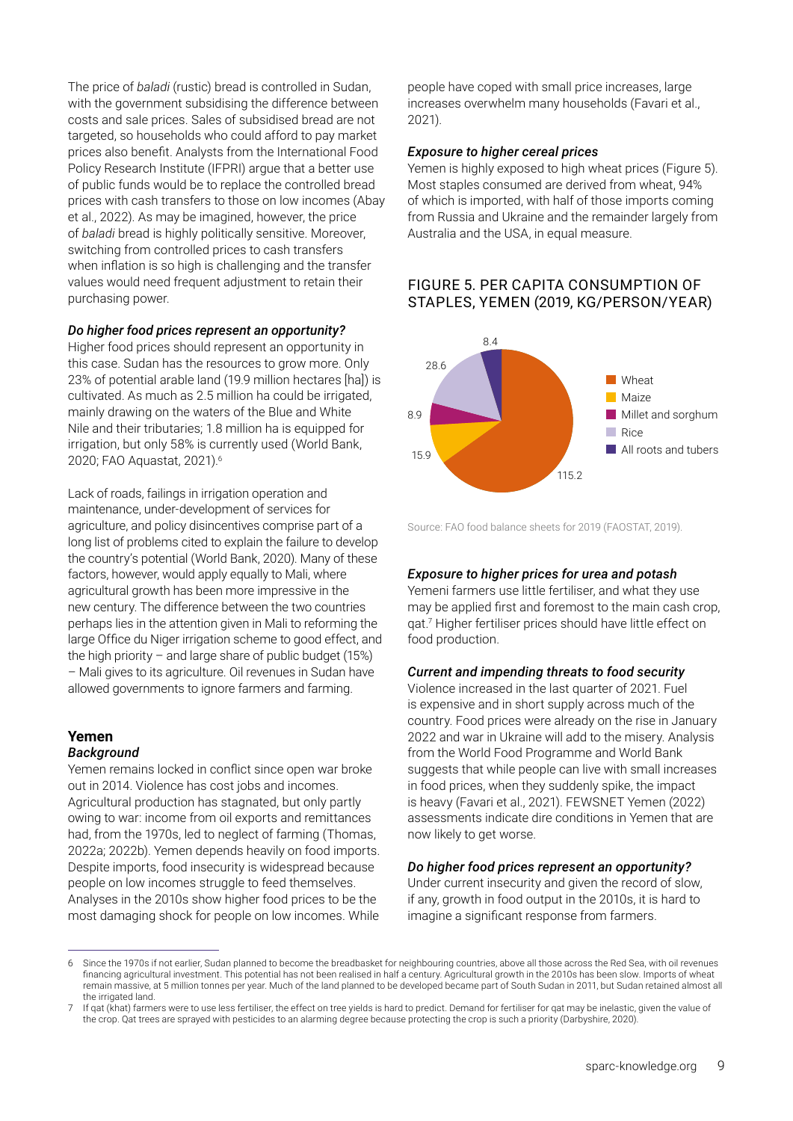The price of *baladi* (rustic) bread is controlled in Sudan, with the government subsidising the difference between costs and sale prices. Sales of subsidised bread are not targeted, so households who could afford to pay market prices also benefit. Analysts from the International Food Policy Research Institute (IFPRI) argue that a better use of public funds would be to replace the controlled bread prices with cash transfers to those on low incomes (Abay et al., 2022). As may be imagined, however, the price of *baladi* bread is highly politically sensitive. Moreover, switching from controlled prices to cash transfers when inflation is so high is challenging and the transfer values would need frequent adjustment to retain their purchasing power.

# *Do higher food prices represent an opportunity?*

Higher food prices should represent an opportunity in this case. Sudan has the resources to grow more. Only 23% of potential arable land (19.9 million hectares [ha]) is cultivated. As much as 2.5 million ha could be irrigated, mainly drawing on the waters of the Blue and White Nile and their tributaries; 1.8 million ha is equipped for irrigation, but only 58% is currently used (World Bank, 2020; FAO Aquastat, 2021).6

Lack of roads, failings in irrigation operation and maintenance, under-development of services for agriculture, and policy disincentives comprise part of a long list of problems cited to explain the failure to develop the country's potential (World Bank, 2020). Many of these factors, however, would apply equally to Mali, where agricultural growth has been more impressive in the new century. The difference between the two countries perhaps lies in the attention given in Mali to reforming the large Office du Niger irrigation scheme to good effect, and the high priority – and large share of public budget  $(15%)$ – Mali gives to its agriculture. Oil revenues in Sudan have allowed governments to ignore farmers and farming.

# **Yemen**

#### *Background*

Yemen remains locked in conflict since open war broke out in 2014. Violence has cost jobs and incomes. Agricultural production has stagnated, but only partly owing to war: income from oil exports and remittances had, from the 1970s, led to neglect of farming (Thomas, 2022a; 2022b). Yemen depends heavily on food imports. Despite imports, food insecurity is widespread because people on low incomes struggle to feed themselves. Analyses in the 2010s show higher food prices to be the most damaging shock for people on low incomes. While

people have coped with small price increases, large increases overwhelm many households (Favari et al., 2021).

#### *Exposure to higher cereal prices*

Yemen is highly exposed to high wheat prices (Figure 5). Most staples consumed are derived from wheat, 94% of which is imported, with half of those imports coming from Russia and Ukraine and the remainder largely from Australia and the USA, in equal measure.

# FIGURE 5. PER CAPITA CONSUMPTION OF STAPLES, YEMEN (2019, KG/PERSON/YEAR)



Source: FAO food balance sheets for 2019 (FAOSTAT, 2019).

#### *Exposure to higher prices for urea and potash*

Yemeni farmers use little fertiliser, and what they use may be applied first and foremost to the main cash crop, qat.7 Higher fertiliser prices should have little effect on food production.

#### *Current and impending threats to food security*

Violence increased in the last quarter of 2021. Fuel is expensive and in short supply across much of the country. Food prices were already on the rise in January 2022 and war in Ukraine will add to the misery. Analysis from the World Food Programme and World Bank suggests that while people can live with small increases in food prices, when they suddenly spike, the impact is heavy (Favari et al., 2021). FEWSNET Yemen (2022) assessments indicate dire conditions in Yemen that are now likely to get worse.

#### *Do higher food prices represent an opportunity?*

Under current insecurity and given the record of slow, if any, growth in food output in the 2010s, it is hard to imagine a significant response from farmers.

Since the 1970s if not earlier, Sudan planned to become the breadbasket for neighbouring countries, above all those across the Red Sea, with oil revenues financing agricultural investment. This potential has not been realised in half a century. Agricultural growth in the 2010s has been slow. Imports of wheat remain massive, at 5 million tonnes per year. Much of the land planned to be developed became part of South Sudan in 2011, but Sudan retained almost all the irrigated land.

If gat (khat) farmers were to use less fertiliser, the effect on tree yields is hard to predict. Demand for fertiliser for gat may be inelastic, given the value of the crop. Qat trees are sprayed with pesticides to an alarming degree because protecting the crop is such a priority (Darbyshire, 2020).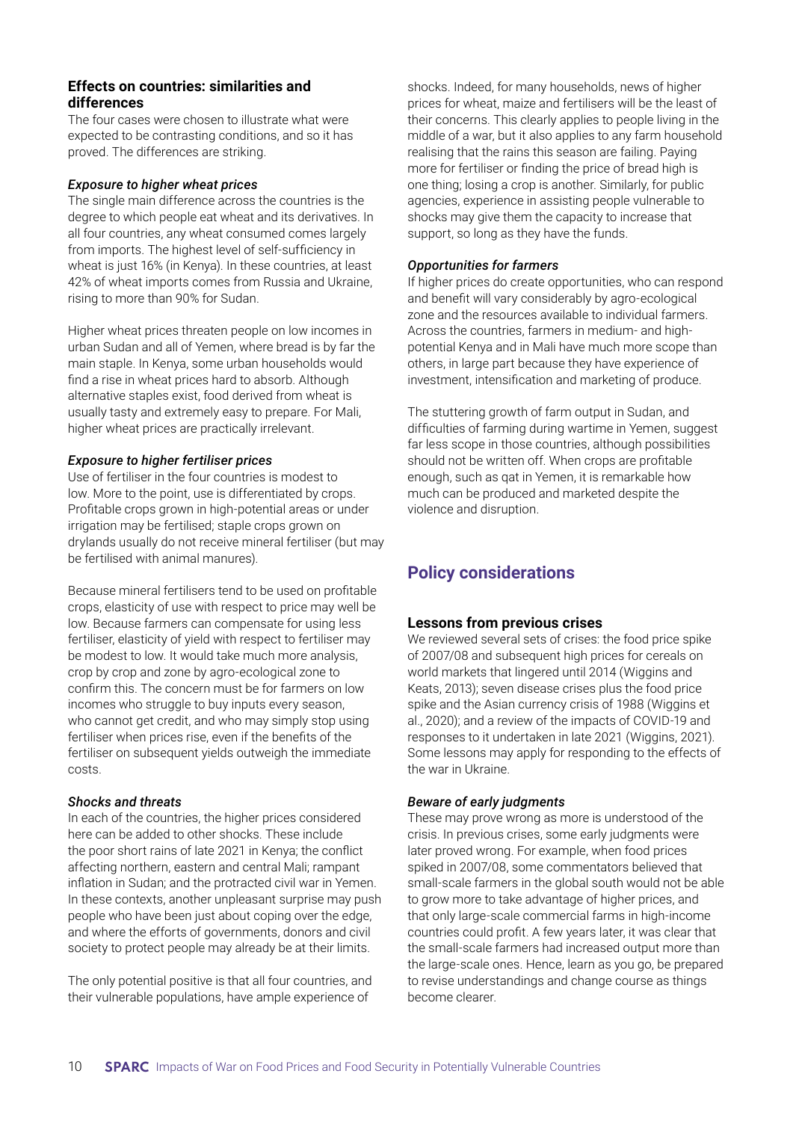# **Effects on countries: similarities and differences**

The four cases were chosen to illustrate what were expected to be contrasting conditions, and so it has proved. The differences are striking.

#### *Exposure to higher wheat prices*

The single main difference across the countries is the degree to which people eat wheat and its derivatives. In all four countries, any wheat consumed comes largely from imports. The highest level of self-sufficiency in wheat is just 16% (in Kenya). In these countries, at least 42% of wheat imports comes from Russia and Ukraine, rising to more than 90% for Sudan.

Higher wheat prices threaten people on low incomes in urban Sudan and all of Yemen, where bread is by far the main staple. In Kenya, some urban households would find a rise in wheat prices hard to absorb. Although alternative staples exist, food derived from wheat is usually tasty and extremely easy to prepare. For Mali, higher wheat prices are practically irrelevant.

# *Exposure to higher fertiliser prices*

Use of fertiliser in the four countries is modest to low. More to the point, use is differentiated by crops. Profitable crops grown in high-potential areas or under irrigation may be fertilised; staple crops grown on drylands usually do not receive mineral fertiliser (but may be fertilised with animal manures).

Because mineral fertilisers tend to be used on profitable crops, elasticity of use with respect to price may well be low. Because farmers can compensate for using less fertiliser, elasticity of yield with respect to fertiliser may be modest to low. It would take much more analysis, crop by crop and zone by agro-ecological zone to confirm this. The concern must be for farmers on low incomes who struggle to buy inputs every season, who cannot get credit, and who may simply stop using fertiliser when prices rise, even if the benefits of the fertiliser on subsequent yields outweigh the immediate costs.

# *Shocks and threats*

In each of the countries, the higher prices considered here can be added to other shocks. These include the poor short rains of late 2021 in Kenya; the conflict affecting northern, eastern and central Mali; rampant inflation in Sudan; and the protracted civil war in Yemen. In these contexts, another unpleasant surprise may push people who have been just about coping over the edge, and where the efforts of governments, donors and civil society to protect people may already be at their limits.

The only potential positive is that all four countries, and their vulnerable populations, have ample experience of

shocks. Indeed, for many households, news of higher prices for wheat, maize and fertilisers will be the least of their concerns. This clearly applies to people living in the middle of a war, but it also applies to any farm household realising that the rains this season are failing. Paying more for fertiliser or finding the price of bread high is one thing; losing a crop is another. Similarly, for public agencies, experience in assisting people vulnerable to shocks may give them the capacity to increase that support, so long as they have the funds.

# *Opportunities for farmers*

If higher prices do create opportunities, who can respond and benefit will vary considerably by agro-ecological zone and the resources available to individual farmers. Across the countries, farmers in medium- and highpotential Kenya and in Mali have much more scope than others, in large part because they have experience of investment, intensification and marketing of produce.

The stuttering growth of farm output in Sudan, and difficulties of farming during wartime in Yemen, suggest far less scope in those countries, although possibilities should not be written off. When crops are profitable enough, such as qat in Yemen, it is remarkable how much can be produced and marketed despite the violence and disruption.

# **Policy considerations**

# **Lessons from previous crises**

We reviewed several sets of crises: the food price spike of 2007/08 and subsequent high prices for cereals on world markets that lingered until 2014 (Wiggins and Keats, 2013); seven disease crises plus the food price spike and the Asian currency crisis of 1988 (Wiggins et al., 2020); and a review of the impacts of COVID-19 and responses to it undertaken in late 2021 (Wiggins, 2021). Some lessons may apply for responding to the effects of the war in Ukraine.

# *Beware of early judgments*

These may prove wrong as more is understood of the crisis. In previous crises, some early judgments were later proved wrong. For example, when food prices spiked in 2007/08, some commentators believed that small-scale farmers in the global south would not be able to grow more to take advantage of higher prices, and that only large-scale commercial farms in high-income countries could profit. A few years later, it was clear that the small-scale farmers had increased output more than the large-scale ones. Hence, learn as you go, be prepared to revise understandings and change course as things become clearer.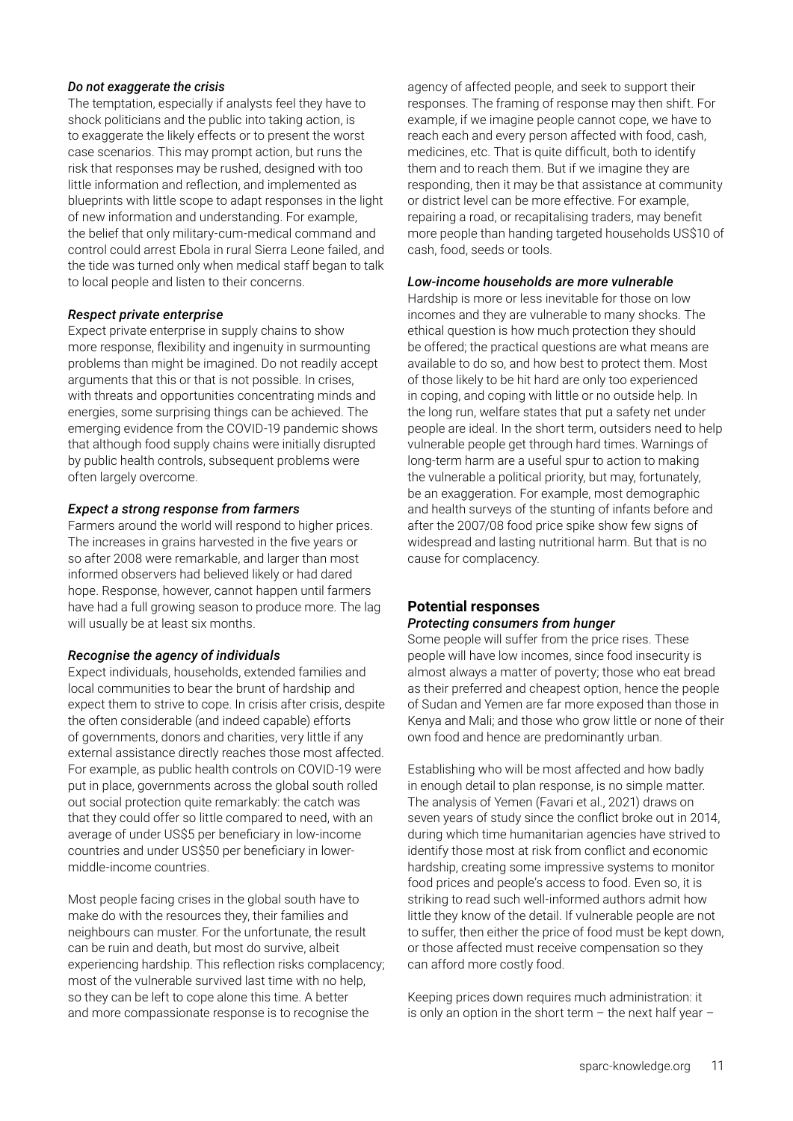#### *Do not exaggerate the crisis*

The temptation, especially if analysts feel they have to shock politicians and the public into taking action, is to exaggerate the likely effects or to present the worst case scenarios. This may prompt action, but runs the risk that responses may be rushed, designed with too little information and reflection, and implemented as blueprints with little scope to adapt responses in the light of new information and understanding. For example, the belief that only military-cum-medical command and control could arrest Ebola in rural Sierra Leone failed, and the tide was turned only when medical staff began to talk to local people and listen to their concerns.

#### *Respect private enterprise*

Expect private enterprise in supply chains to show more response, flexibility and ingenuity in surmounting problems than might be imagined. Do not readily accept arguments that this or that is not possible. In crises, with threats and opportunities concentrating minds and energies, some surprising things can be achieved. The emerging evidence from the COVID-19 pandemic shows that although food supply chains were initially disrupted by public health controls, subsequent problems were often largely overcome.

#### *Expect a strong response from farmers*

Farmers around the world will respond to higher prices. The increases in grains harvested in the five years or so after 2008 were remarkable, and larger than most informed observers had believed likely or had dared hope. Response, however, cannot happen until farmers have had a full growing season to produce more. The lag will usually be at least six months.

# *Recognise the agency of individuals*

Expect individuals, households, extended families and local communities to bear the brunt of hardship and expect them to strive to cope. In crisis after crisis, despite the often considerable (and indeed capable) efforts of governments, donors and charities, very little if any external assistance directly reaches those most affected. For example, as public health controls on COVID-19 were put in place, governments across the global south rolled out social protection quite remarkably: the catch was that they could offer so little compared to need, with an average of under US\$5 per beneficiary in low-income countries and under US\$50 per beneficiary in lowermiddle-income countries.

Most people facing crises in the global south have to make do with the resources they, their families and neighbours can muster. For the unfortunate, the result can be ruin and death, but most do survive, albeit experiencing hardship. This reflection risks complacency; most of the vulnerable survived last time with no help, so they can be left to cope alone this time. A better and more compassionate response is to recognise the

agency of affected people, and seek to support their responses. The framing of response may then shift. For example, if we imagine people cannot cope, we have to reach each and every person affected with food, cash, medicines, etc. That is quite difficult, both to identify them and to reach them. But if we imagine they are responding, then it may be that assistance at community or district level can be more effective. For example, repairing a road, or recapitalising traders, may benefit more people than handing targeted households US\$10 of cash, food, seeds or tools.

#### *Low-income households are more vulnerable*

Hardship is more or less inevitable for those on low incomes and they are vulnerable to many shocks. The ethical question is how much protection they should be offered; the practical questions are what means are available to do so, and how best to protect them. Most of those likely to be hit hard are only too experienced in coping, and coping with little or no outside help. In the long run, welfare states that put a safety net under people are ideal. In the short term, outsiders need to help vulnerable people get through hard times. Warnings of long-term harm are a useful spur to action to making the vulnerable a political priority, but may, fortunately, be an exaggeration. For example, most demographic and health surveys of the stunting of infants before and after the 2007/08 food price spike show few signs of widespread and lasting nutritional harm. But that is no cause for complacency.

#### **Potential responses**  *Protecting consumers from hunger*

Some people will suffer from the price rises. These people will have low incomes, since food insecurity is almost always a matter of poverty; those who eat bread as their preferred and cheapest option, hence the people of Sudan and Yemen are far more exposed than those in Kenya and Mali; and those who grow little or none of their own food and hence are predominantly urban.

Establishing who will be most affected and how badly in enough detail to plan response, is no simple matter. The analysis of Yemen (Favari et al., 2021) draws on seven years of study since the conflict broke out in 2014, during which time humanitarian agencies have strived to identify those most at risk from conflict and economic hardship, creating some impressive systems to monitor food prices and people's access to food. Even so, it is striking to read such well-informed authors admit how little they know of the detail. If vulnerable people are not to suffer, then either the price of food must be kept down, or those affected must receive compensation so they can afford more costly food.

Keeping prices down requires much administration: it is only an option in the short term  $-$  the next half year  $-$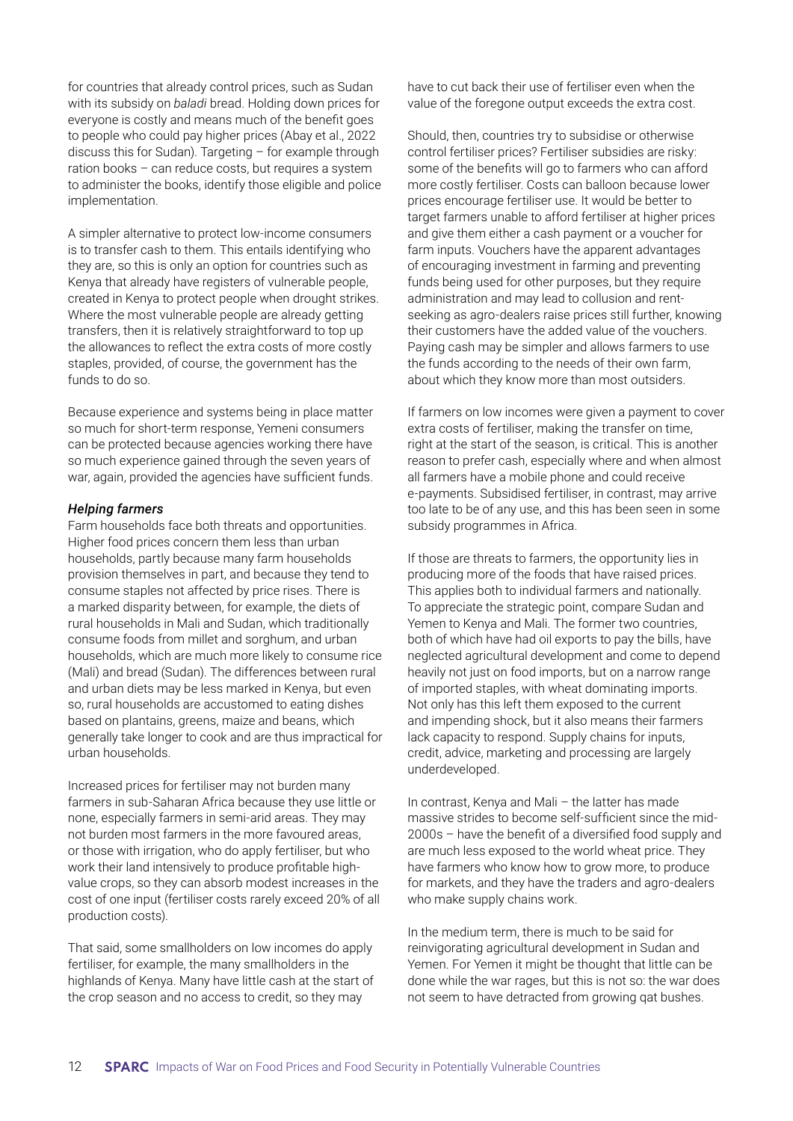for countries that already control prices, such as Sudan with its subsidy on *baladi* bread. Holding down prices for everyone is costly and means much of the benefit goes to people who could pay higher prices (Abay et al., 2022 discuss this for Sudan). Targeting – for example through ration books – can reduce costs, but requires a system to administer the books, identify those eligible and police implementation.

A simpler alternative to protect low-income consumers is to transfer cash to them. This entails identifying who they are, so this is only an option for countries such as Kenya that already have registers of vulnerable people, created in Kenya to protect people when drought strikes. Where the most vulnerable people are already getting transfers, then it is relatively straightforward to top up the allowances to reflect the extra costs of more costly staples, provided, of course, the government has the funds to do so.

Because experience and systems being in place matter so much for short-term response, Yemeni consumers can be protected because agencies working there have so much experience gained through the seven years of war, again, provided the agencies have sufficient funds.

#### *Helping farmers*

Farm households face both threats and opportunities. Higher food prices concern them less than urban households, partly because many farm households provision themselves in part, and because they tend to consume staples not affected by price rises. There is a marked disparity between, for example, the diets of rural households in Mali and Sudan, which traditionally consume foods from millet and sorghum, and urban households, which are much more likely to consume rice (Mali) and bread (Sudan). The differences between rural and urban diets may be less marked in Kenya, but even so, rural households are accustomed to eating dishes based on plantains, greens, maize and beans, which generally take longer to cook and are thus impractical for urban households.

Increased prices for fertiliser may not burden many farmers in sub-Saharan Africa because they use little or none, especially farmers in semi-arid areas. They may not burden most farmers in the more favoured areas, or those with irrigation, who do apply fertiliser, but who work their land intensively to produce profitable highvalue crops, so they can absorb modest increases in the cost of one input (fertiliser costs rarely exceed 20% of all production costs).

That said, some smallholders on low incomes do apply fertiliser, for example, the many smallholders in the highlands of Kenya. Many have little cash at the start of the crop season and no access to credit, so they may

have to cut back their use of fertiliser even when the value of the foregone output exceeds the extra cost.

Should, then, countries try to subsidise or otherwise control fertiliser prices? Fertiliser subsidies are risky: some of the benefits will go to farmers who can afford more costly fertiliser. Costs can balloon because lower prices encourage fertiliser use. It would be better to target farmers unable to afford fertiliser at higher prices and give them either a cash payment or a voucher for farm inputs. Vouchers have the apparent advantages of encouraging investment in farming and preventing funds being used for other purposes, but they require administration and may lead to collusion and rentseeking as agro-dealers raise prices still further, knowing their customers have the added value of the vouchers. Paying cash may be simpler and allows farmers to use the funds according to the needs of their own farm, about which they know more than most outsiders.

If farmers on low incomes were given a payment to cover extra costs of fertiliser, making the transfer on time, right at the start of the season, is critical. This is another reason to prefer cash, especially where and when almost all farmers have a mobile phone and could receive e-payments. Subsidised fertiliser, in contrast, may arrive too late to be of any use, and this has been seen in some subsidy programmes in Africa.

If those are threats to farmers, the opportunity lies in producing more of the foods that have raised prices. This applies both to individual farmers and nationally. To appreciate the strategic point, compare Sudan and Yemen to Kenya and Mali. The former two countries, both of which have had oil exports to pay the bills, have neglected agricultural development and come to depend heavily not just on food imports, but on a narrow range of imported staples, with wheat dominating imports. Not only has this left them exposed to the current and impending shock, but it also means their farmers lack capacity to respond. Supply chains for inputs, credit, advice, marketing and processing are largely underdeveloped.

In contrast, Kenya and Mali – the latter has made massive strides to become self-sufficient since the mid-2000s – have the benefit of a diversified food supply and are much less exposed to the world wheat price. They have farmers who know how to grow more, to produce for markets, and they have the traders and agro-dealers who make supply chains work.

In the medium term, there is much to be said for reinvigorating agricultural development in Sudan and Yemen. For Yemen it might be thought that little can be done while the war rages, but this is not so: the war does not seem to have detracted from growing qat bushes.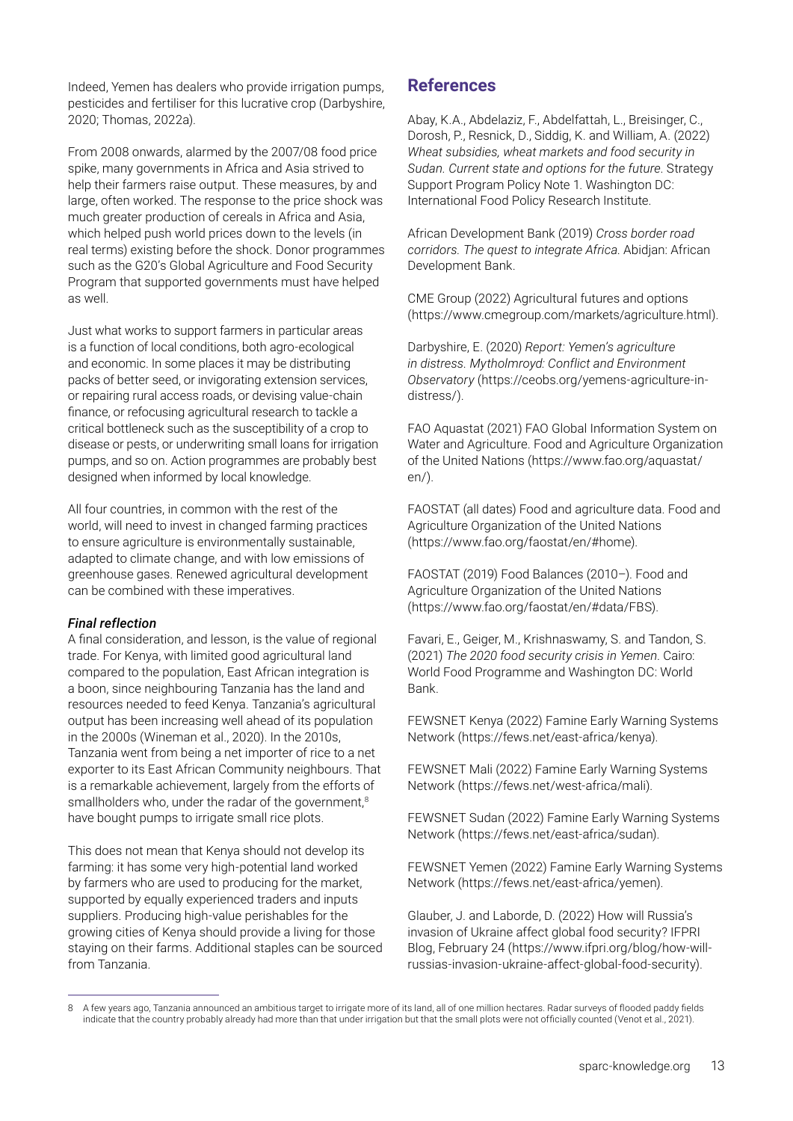Indeed, Yemen has dealers who provide irrigation pumps, pesticides and fertiliser for this lucrative crop (Darbyshire, 2020; Thomas, 2022a).

From 2008 onwards, alarmed by the 2007/08 food price spike, many governments in Africa and Asia strived to help their farmers raise output. These measures, by and large, often worked. The response to the price shock was much greater production of cereals in Africa and Asia, which helped push world prices down to the levels (in real terms) existing before the shock. Donor programmes such as the G20's Global Agriculture and Food Security Program that supported governments must have helped as well.

Just what works to support farmers in particular areas is a function of local conditions, both agro-ecological and economic. In some places it may be distributing packs of better seed, or invigorating extension services, or repairing rural access roads, or devising value-chain finance, or refocusing agricultural research to tackle a critical bottleneck such as the susceptibility of a crop to disease or pests, or underwriting small loans for irrigation pumps, and so on. Action programmes are probably best designed when informed by local knowledge.

All four countries, in common with the rest of the world, will need to invest in changed farming practices to ensure agriculture is environmentally sustainable, adapted to climate change, and with low emissions of greenhouse gases. Renewed agricultural development can be combined with these imperatives.

# *Final reflection*

A final consideration, and lesson, is the value of regional trade. For Kenya, with limited good agricultural land compared to the population, East African integration is a boon, since neighbouring Tanzania has the land and resources needed to feed Kenya. Tanzania's agricultural output has been increasing well ahead of its population in the 2000s (Wineman et al., 2020). In the 2010s, Tanzania went from being a net importer of rice to a net exporter to its East African Community neighbours. That is a remarkable achievement, largely from the efforts of smallholders who, under the radar of the government,<sup>8</sup> have bought pumps to irrigate small rice plots.

This does not mean that Kenya should not develop its farming: it has some very high-potential land worked by farmers who are used to producing for the market, supported by equally experienced traders and inputs suppliers. Producing high-value perishables for the growing cities of Kenya should provide a living for those staying on their farms. Additional staples can be sourced from Tanzania.

# **References**

Abay, K.A., Abdelaziz, F., Abdelfattah, L., Breisinger, C., Dorosh, P., Resnick, D., Siddig, K. and William, A. (2022) *Wheat subsidies, wheat markets and food security in Sudan. Current state and options for the future*. Strategy Support Program Policy Note 1. Washington DC: International Food Policy Research Institute.

African Development Bank (2019) *Cross border road corridors. The quest to integrate Africa*. Abidjan: African Development Bank.

CME Group (2022) Agricultural futures and options [\(https://www.cmegroup.com/markets/agriculture.html](https://www.cmegroup.com/markets/agriculture.html)).

Darbyshire, E. (2020) *Report: Yemen's agriculture in distress. Mytholmroyd: Conflict and Environment Observatory* ([https://ceobs.org/yemens-agriculture-in](https://ceobs.org/yemens-agriculture-in-distress/)[distress/](https://ceobs.org/yemens-agriculture-in-distress/)).

FAO Aquastat (2021) FAO Global Information System on Water and Agriculture. Food and Agriculture Organization of the United Nations [\(https://www.fao.org/aquastat/](https://www.fao.org/aquastat/en/) [en/](https://www.fao.org/aquastat/en/)).

FAOSTAT (all dates) Food and agriculture data. Food and Agriculture Organization of the United Nations (https://www.fao.org/faostat/en/#home).

FAOSTAT (2019) Food Balances (2010–). Food and Agriculture Organization of the United Nations (https://www.fao.org/faostat/en/#data/FBS).

Favari, E., Geiger, M., Krishnaswamy, S. and Tandon, S. (2021) *The 2020 food security crisis in Yemen*. Cairo: World Food Programme and Washington DC: World Bank.

FEWSNET Kenya (2022) Famine Early Warning Systems Network (<https://fews.net/east-africa/kenya>).

FEWSNET Mali (2022) Famine Early Warning Systems Network ([https://fews.net/west-africa/mali\)](https://fews.net/west-africa/mali).

FEWSNET Sudan (2022) Famine Early Warning Systems Network (<https://fews.net/east-africa/sudan>).

FEWSNET Yemen (2022) Famine Early Warning Systems Network ([https://fews.net/east-africa/yemen\)](https://fews.net/east-africa/yemen).

Glauber, J. and Laborde, D. (2022) How will Russia's invasion of Ukraine affect global food security? IFPRI Blog, February 24 ([https://www.ifpri.org/blog/how-will](https://www.ifpri.org/blog/how-will-russias-invasion-ukraine-affect-global-food-security)[russias-invasion-ukraine-affect-global-food-security](https://www.ifpri.org/blog/how-will-russias-invasion-ukraine-affect-global-food-security)).

<sup>8</sup> A few years ago, Tanzania announced an ambitious target to irrigate more of its land, all of one million hectares. Radar surveys of flooded paddy fields indicate that the country probably already had more than that under irrigation but that the small plots were not officially counted (Venot et al., 2021).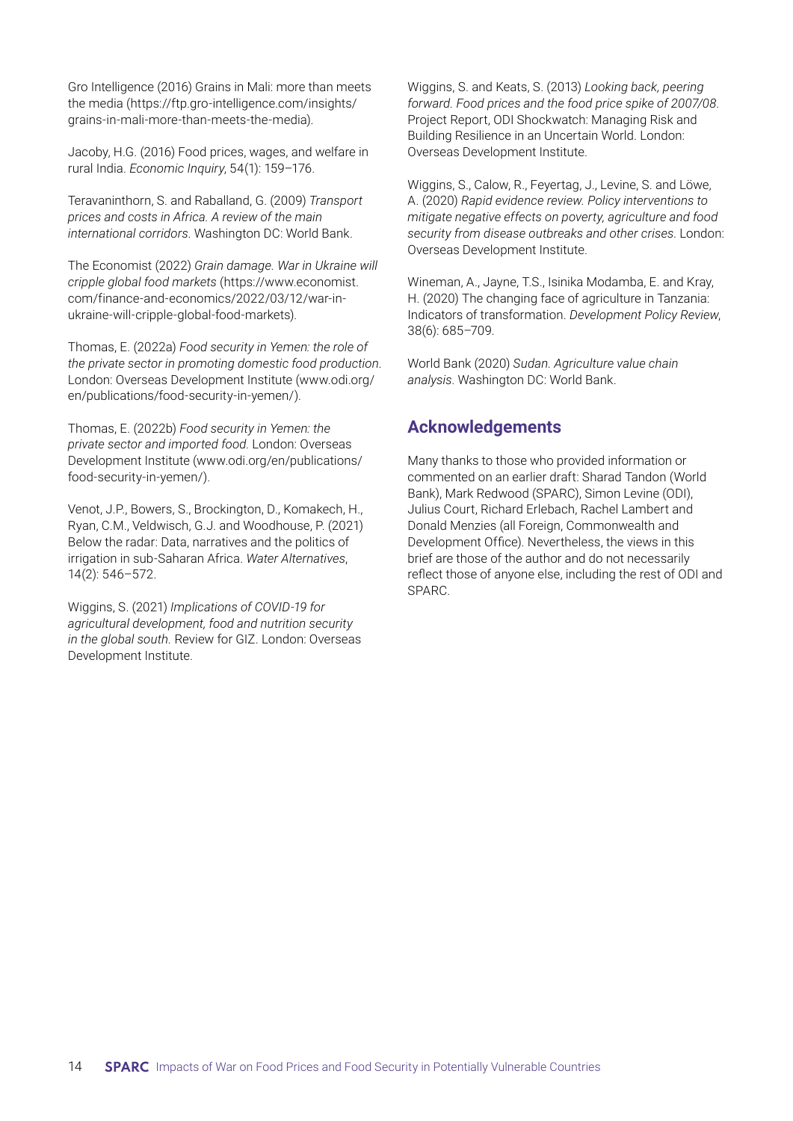Gro Intelligence (2016) Grains in Mali: more than meets the media ([https://ftp.gro-intelligence.com/insights/](https://ftp.gro-intelligence.com/insights/grains-in-mali-more-than-meets-the-media) [grains-in-mali-more-than-meets-the-media](https://ftp.gro-intelligence.com/insights/grains-in-mali-more-than-meets-the-media)).

Jacoby, H.G. (2016) Food prices, wages, and welfare in rural India. *Economic Inquiry*, 54(1): 159–176.

Teravaninthorn, S. and Raballand, G. (2009) *Transport prices and costs in Africa. A review of the main international corridors*. Washington DC: World Bank.

The Economist (2022) *Grain damage. War in Ukraine will cripple global food markets* [\(https://www.economist.](https://www.economist.com/finance-and-economics/2022/03/12/war-in-ukraine-will-cripple-global-food-markets) [com/finance-and-economics/2022/03/12/war-in](https://www.economist.com/finance-and-economics/2022/03/12/war-in-ukraine-will-cripple-global-food-markets)[ukraine-will-cripple-global-food-markets\)](https://www.economist.com/finance-and-economics/2022/03/12/war-in-ukraine-will-cripple-global-food-markets).

Thomas, E. (2022a) *Food security in Yemen: the role of the private sector in promoting domestic food production*. London: Overseas Development Institute [\(www.odi.org/](http://www.odi.org/en/publications/food-security-in-yemen/) [en/publications/food-security-in-yemen/](http://www.odi.org/en/publications/food-security-in-yemen/)).

Thomas, E. (2022b) *Food security in Yemen: the private sector and imported food*. London: Overseas Development Institute ([www.odi.org/en/publications/](http://www.odi.org/en/publications/food-security-in-yemen/) [food-security-in-yemen/\)](http://www.odi.org/en/publications/food-security-in-yemen/).

Venot, J.P., Bowers, S., Brockington, D., Komakech, H., Ryan, C.M., Veldwisch, G.J. and Woodhouse, P. (2021) Below the radar: Data, narratives and the politics of irrigation in sub-Saharan Africa. *Water Alternatives*, 14(2): 546–572.

Wiggins, S. (2021) *Implications of COVID-19 for agricultural development, food and nutrition security in the global south.* Review for GIZ. London: Overseas Development Institute.

Wiggins, S. and Keats, S. (2013) *Looking back, peering forward. Food prices and the food price spike of 2007/08*. Project Report, ODI Shockwatch: Managing Risk and Building Resilience in an Uncertain World. London: Overseas Development Institute.

Wiggins, S., Calow, R., Feyertag, J., Levine, S. and Löwe, A. (2020) *Rapid evidence review. Policy interventions to mitigate negative effects on poverty, agriculture and food security from disease outbreaks and other crises*. London: Overseas Development Institute.

Wineman, A., Jayne, T.S., Isinika Modamba, E. and Kray, H. (2020) The changing face of agriculture in Tanzania: Indicators of transformation. *Development Policy Review*, 38(6): 685–709.

World Bank (2020) *Sudan. Agriculture value chain analysis*. Washington DC: World Bank.

# **Acknowledgements**

Many thanks to those who provided information or commented on an earlier draft: Sharad Tandon (World Bank), Mark Redwood (SPARC), Simon Levine (ODI), Julius Court, Richard Erlebach, Rachel Lambert and Donald Menzies (all Foreign, Commonwealth and Development Office). Nevertheless, the views in this brief are those of the author and do not necessarily reflect those of anyone else, including the rest of ODI and SPARC.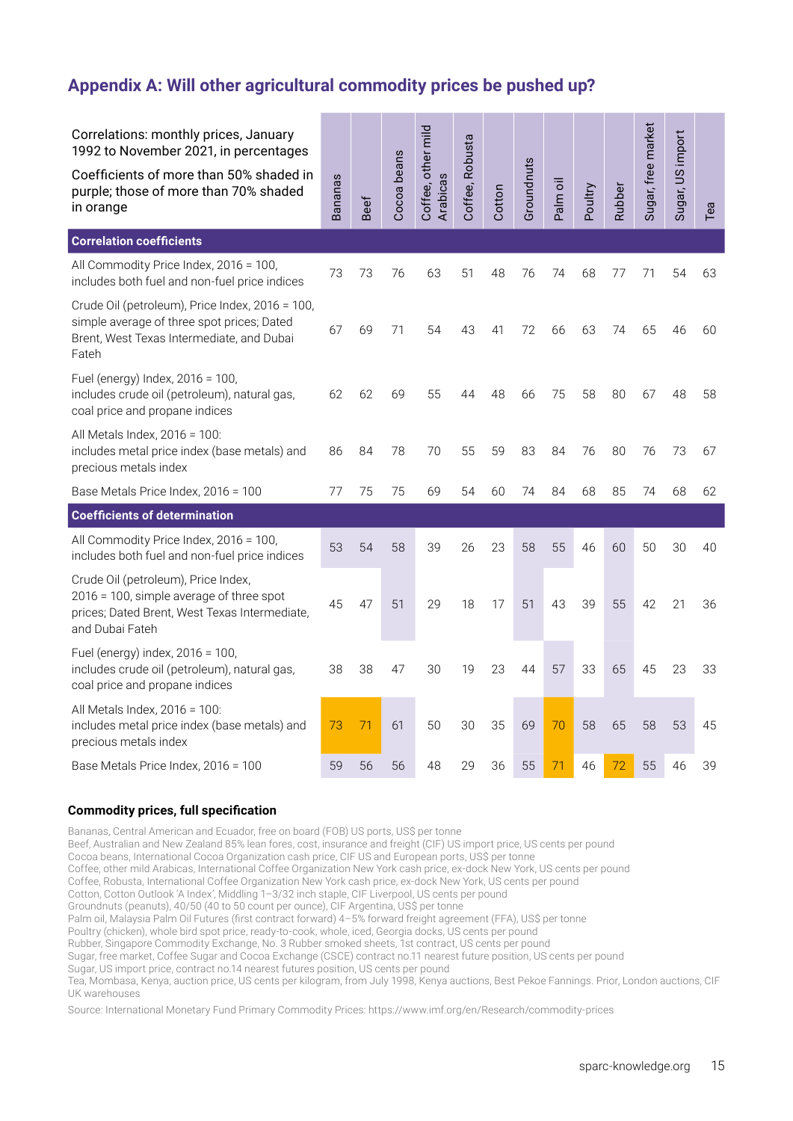# **Appendix A: Will other agricultural commodity prices be pushed up?**

| Correlations: monthly prices, January<br>1992 to November 2021, in percentages<br>Coefficients of more than 50% shaded in<br>purple; those of more than 70% shaded<br>in orange | <b>Bananas</b> | <b>Beef</b> | Cocoa beans | Coffee, other mild<br>Arabicas | Coffee, Robusta | Cotton | Groundnuts | Palm oil | Poultry | Rubber | Sugar, free market | Sugar, US import | Tea |
|---------------------------------------------------------------------------------------------------------------------------------------------------------------------------------|----------------|-------------|-------------|--------------------------------|-----------------|--------|------------|----------|---------|--------|--------------------|------------------|-----|
| <b>Correlation coefficients</b>                                                                                                                                                 |                |             |             |                                |                 |        |            |          |         |        |                    |                  |     |
| All Commodity Price Index, 2016 = 100,<br>includes both fuel and non-fuel price indices                                                                                         | 73             | 73          | 76          | 63                             | 51              | 48     | 76         | 74       | 68      | 77     | 71                 | 54               | 63  |
| Crude Oil (petroleum), Price Index, 2016 = 100,<br>simple average of three spot prices; Dated<br>Brent, West Texas Intermediate, and Dubai<br>Fateh                             | 67             | 69          | 71          | 54                             | 43              | 41     | 72         | 66       | 63      | 74     | 65                 | 46               | 60  |
| Fuel (energy) Index, 2016 = 100,<br>includes crude oil (petroleum), natural gas,<br>coal price and propane indices                                                              | 62             | 62          | 69          | 55                             | 44              | 48     | 66         | 75       | 58      | 80     | 67                 | 48               | 58  |
| All Metals Index, 2016 = 100:<br>includes metal price index (base metals) and<br>precious metals index                                                                          | 86             | 84          | 78          | 70                             | 55              | 59     | 83         | 84       | 76      | 80     | 76                 | 73               | 67  |
| Base Metals Price Index, 2016 = 100                                                                                                                                             |                | 75          | 75          | 69                             | 54              | 60     | 74         | 84       | 68      | 85     | 74                 | 68               | 62  |
| <b>Coefficients of determination</b>                                                                                                                                            |                |             |             |                                |                 |        |            |          |         |        |                    |                  |     |
| All Commodity Price Index, 2016 = 100,<br>includes both fuel and non-fuel price indices                                                                                         | 53             | 54          | 58          | 39                             | 26              | 23     | 58         | 55       | 46      | 60     | 50                 | 30               | 40  |
| Crude Oil (petroleum), Price Index,<br>2016 = 100, simple average of three spot<br>prices; Dated Brent, West Texas Intermediate,<br>and Dubai Fateh                             | 45             | 47          | 51          | 29                             | 18              | 17     | 51         | 43       | 39      | 55     | 42                 | 21               | 36  |
| Fuel (energy) index, 2016 = 100,<br>includes crude oil (petroleum), natural gas,<br>coal price and propane indices                                                              | 38             | 38          | 47          | 30                             | 19              | 23     | 44         | 57       | 33      | 65     | 45                 | 23               | 33  |
| All Metals Index, 2016 = 100:<br>includes metal price index (base metals) and<br>precious metals index                                                                          | 73             | 71          | 61          | 50                             | 30              | 35     | 69         | 70       | 58      | 65     | 58                 | 53               | 45  |
| Base Metals Price Index, 2016 = 100                                                                                                                                             | 59             | 56          | 56          | 48                             | 29              | 36     | 55         | 71       | 46      | 72     | 55                 | 46               | 39  |

#### **Commodity prices, full specification**

Bananas, Central American and Ecuador, free on board (FOB) US ports, US\$ per tonne Beef, Australian and New Zealand 85% lean fores, cost, insurance and freight (CIF) US import price, US cents per pound Cocoa beans, International Cocoa Organization cash price, CIF US and European ports, US\$ per tonne Coffee, other mild Arabicas, International Coffee Organization New York cash price, ex-dock New York, US cents per pound Coffee, Robusta, International Coffee Organization New York cash price, ex-dock New York, US cents per pound Cotton, Cotton Outlook 'A Index', Middling 1–3/32 inch staple, CIF Liverpool, US cents per pound Groundnuts (peanuts), 40/50 (40 to 50 count per ounce), CIF Argentina, US\$ per tonne Palm oil, Malaysia Palm Oil Futures (first contract forward) 4-5% forward freight agreement (FFA), US\$ per tonne Poultry (chicken), whole bird spot price, ready-to-cook, whole, iced, Georgia docks, US cents per pound Rubber, Singapore Commodity Exchange, No. 3 Rubber smoked sheets, 1st contract, US cents per pound Sugar, free market, Coffee Sugar and Cocoa Exchange (CSCE) contract no.11 nearest future position, US cents per pound Sugar, US import price, contract no.14 nearest futures position, US cents per pound Tea, Mombasa, Kenya, auction price, US cents per kilogram, from July 1998, Kenya auctions, Best Pekoe Fannings. Prior, London auctions, CIF UK warehouses

Source: International Monetary Fund Primary Commodity Prices: <https://www.imf.org/en/Research/commodity-prices>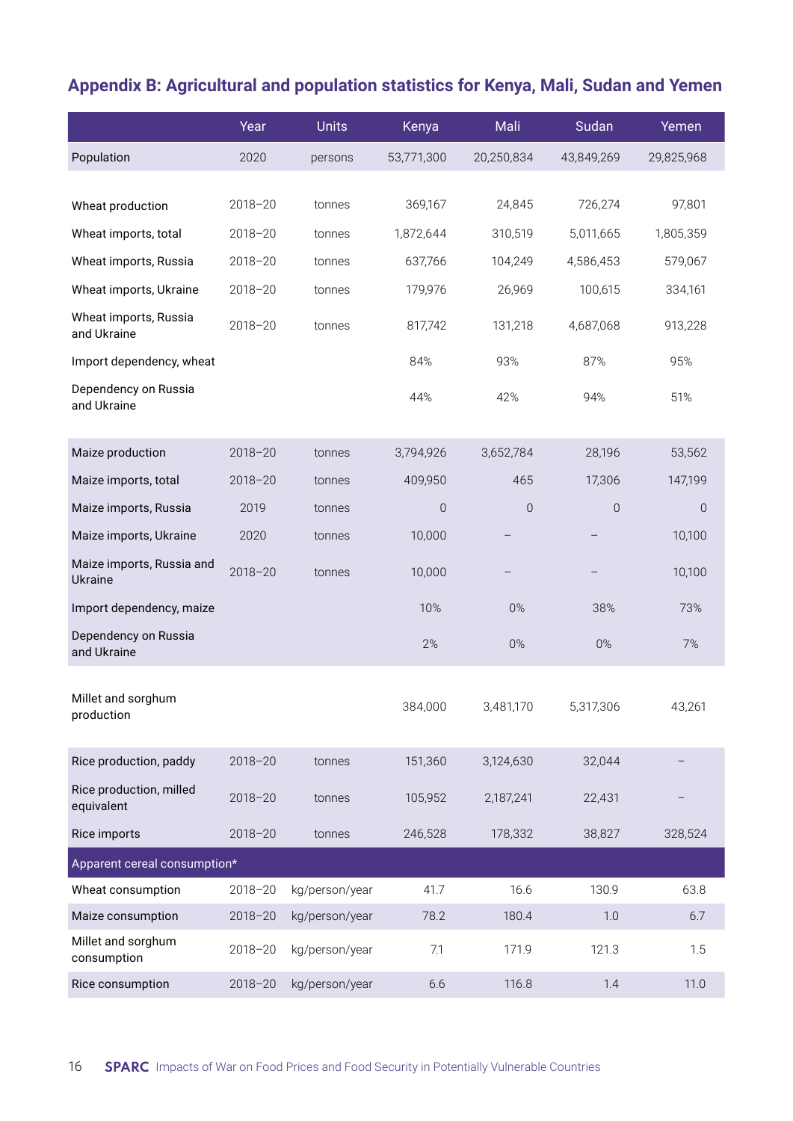# **Appendix B: Agricultural and population statistics for Kenya, Mali, Sudan and Yemen**

|                                       | Year        | <b>Units</b>   | Kenya       | Mali        | Sudan      | Yemen      |
|---------------------------------------|-------------|----------------|-------------|-------------|------------|------------|
| Population                            | 2020        | persons        | 53,771,300  | 20,250,834  | 43,849,269 | 29,825,968 |
|                                       |             |                |             |             |            |            |
| Wheat production                      | $2018 - 20$ | tonnes         | 369,167     | 24,845      | 726,274    | 97,801     |
| Wheat imports, total                  | $2018 - 20$ | tonnes         | 1,872,644   | 310,519     | 5,011,665  | 1,805,359  |
| Wheat imports, Russia                 | $2018 - 20$ | tonnes         | 637,766     | 104,249     | 4,586,453  | 579,067    |
| Wheat imports, Ukraine                | $2018 - 20$ | tonnes         | 179,976     | 26,969      | 100,615    | 334,161    |
| Wheat imports, Russia<br>and Ukraine  | $2018 - 20$ | tonnes         | 817,742     | 131,218     | 4,687,068  | 913,228    |
| Import dependency, wheat              |             |                | 84%         | 93%         | 87%        | 95%        |
| Dependency on Russia<br>and Ukraine   |             |                | 44%         | 42%         | 94%        | 51%        |
| Maize production                      | $2018 - 20$ | tonnes         | 3,794,926   | 3,652,784   | 28,196     | 53,562     |
| Maize imports, total                  | $2018 - 20$ | tonnes         | 409,950     | 465         | 17,306     | 147,199    |
| Maize imports, Russia                 | 2019        | tonnes         | $\mathbf 0$ | $\mathbf 0$ | $\theta$   | $\theta$   |
| Maize imports, Ukraine                | 2020        | tonnes         | 10,000      |             |            | 10,100     |
| Maize imports, Russia and<br>Ukraine  | $2018 - 20$ | tonnes         | 10,000      |             |            | 10,100     |
| Import dependency, maize              |             |                | 10%         | $0\%$       | 38%        | 73%        |
| Dependency on Russia<br>and Ukraine   |             |                | 2%          | $0\%$       | $0\%$      | 7%         |
| Millet and sorghum<br>production      |             |                | 384,000     | 3,481,170   | 5,317,306  | 43,261     |
| Rice production, paddy                | $2018 - 20$ | tonnes         | 151,360     | 3,124,630   | 32,044     |            |
| Rice production, milled<br>equivalent | $2018 - 20$ | tonnes         | 105,952     | 2,187,241   | 22,431     |            |
| Rice imports                          | $2018 - 20$ | tonnes         | 246,528     | 178,332     | 38,827     | 328,524    |
| Apparent cereal consumption*          |             |                |             |             |            |            |
| Wheat consumption                     | 2018-20     | kg/person/year | 41.7        | 16.6        | 130.9      | 63.8       |
| Maize consumption                     | $2018 - 20$ | kg/person/year | 78.2        | 180.4       | 1.0        | 6.7        |
| Millet and sorghum<br>consumption     | $2018 - 20$ | kg/person/year | 7.1         | 171.9       | 121.3      | 1.5        |
| Rice consumption                      | $2018 - 20$ | kg/person/year | 6.6         | 116.8       | 1.4        | 11.0       |